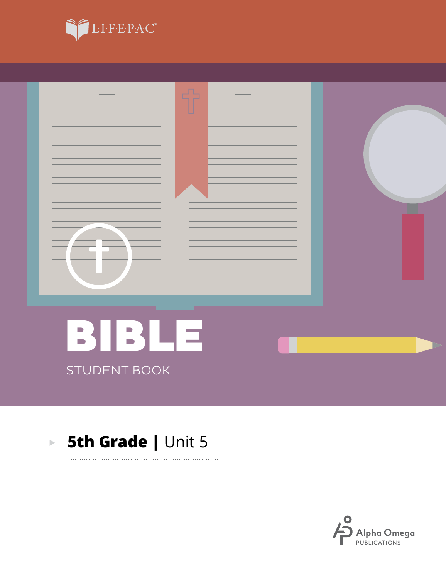



. . . . . . . . .

### **5th Grade | Unit 5**  $\mathbf{E}^{(1)}$

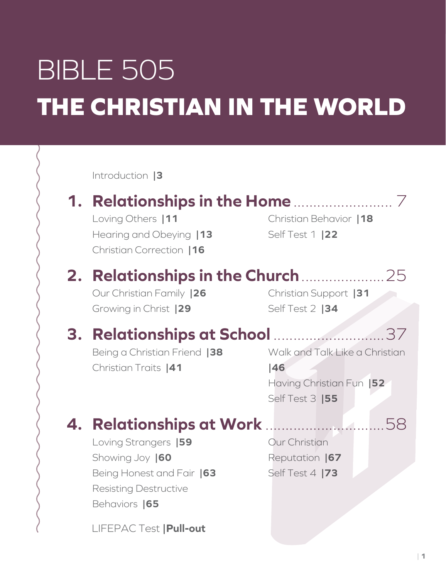# BIBLE 505 **THE CHRISTIAN IN THE WORLD**

Introduction **|3**

# **1. Relationships in the Home**......................... 7

Loving Others **|11** Hearing and Obeying **|13** Christian Correction **|16**

Christian Behavior **|18** Self Test 1 **|22**

# **2. Relationships in the Church**.....................25

Our Christian Family **|26** Growing in Christ **|29**

Christian Support **|31** Self Test 2 **|34**

## **3. Relationships at School** ............................37

Being a Christian Friend **|38** Christian Traits **|41**

Walk and Talk Like a Christian **|46** Having Christian Fun **|52** Self Test 3 **|55**

## **4. Relationships at Work** ..............................58

Loving Strangers **|59** Showing Joy **|60** Being Honest and Fair **|63** Resisting Destructive Behaviors **|65**

LIFEPAC Test **|Pull-out**

Our Christian Reputation **|67** Self Test 4 **|73**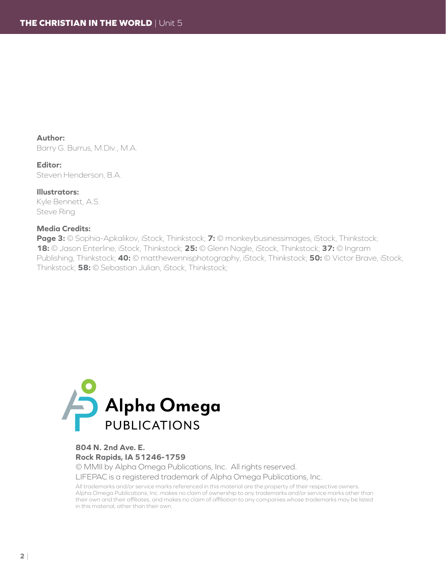**Author:** Barry G. Burrus, M.Div., M.A.

**Editor:** Steven Henderson, B.A.

**Illustrators:** Kyle Bennett, A.S. Steve Ring

#### **Media Credits:**

**Page 3:** © Sophia-Apkalikov, iStock, Thinkstock; **7:** © monkeybusinessimages, iStock, Thinkstock; **18:** © Jason Enterline, iStock, Thinkstock; **25:** © Glenn Nagle, iStock, Thinkstock; **37:** © Ingram Publishing, Thinkstock; **40:** © matthewennisphotography, iStock, Thinkstock; **50:** © Victor Brave, iStock, Thinkstock; **58:** © Sebastian Julian, iStock, Thinkstock;



### **804 N. 2nd Ave. E. Rock Rapids, IA 51246-1759**

© MMII by Alpha Omega Publications, Inc. All rights reserved. LIFEPAC is a registered trademark of Alpha Omega Publications, Inc.

All trademarks and/or service marks referenced in this material are the property of their respective owners. Alpha Omega Publications, Inc. makes no claim of ownership to any trademarks and/or service marks other than their own and their affiliates, and makes no claim of affiliation to any companies whose trademarks may be listed in this material, other than their own.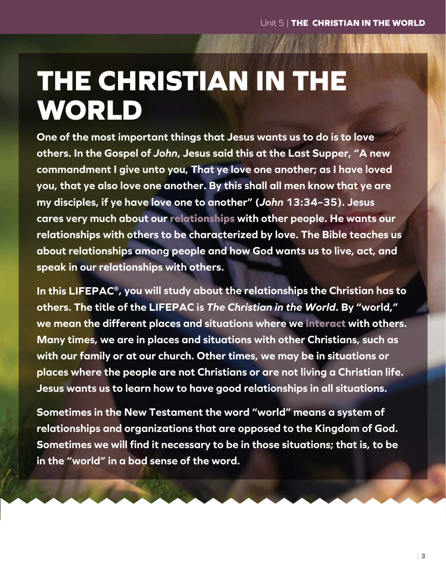# **THE CHRISTIAN IN THE WORLD**

**One of the most important things that Jesus wants us to do is to love others. In the Gospel of** *John***, Jesus said this at the Last Supper, "A new commandment I give unto you, That ye love one another; as I have loved you, that ye also love one another. By this shall all men know that ye are my disciples, if ye have love one to another" (***John* **13:34–35). Jesus cares very much about our relationships with other people. He wants our relationships with others to be characterized by love. The Bible teaches us about relationships among people and how God wants us to live, act, and speak in our relationships with others.**

**In this LIFEPAC®, you will study about the relationships the Christian has to others. The title of the LIFEPAC is** *The Christian in the World***. By "world," we mean the different places and situations where we interact with others. Many times, we are in places and situations with other Christians, such as with our family or at our church. Other times, we may be in situations or places where the people are not Christians or are not living a Christian life. Jesus wants us to learn how to have good relationships in all situations.**

**Sometimes in the New Testament the word "world" means a system of relationships and organizations that are opposed to the Kingdom of God. Sometimes we will find it necessary to be in those situations; that is, to be in the "world" in a bad sense of the word.**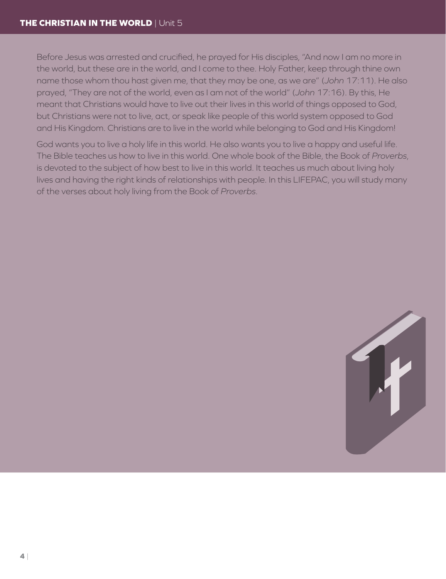Before Jesus was arrested and crucified, he prayed for His disciples, "And now I am no more in the world, but these are in the world, and I come to thee. Holy Father, keep through thine own name those whom thou hast given me, that they may be one, as we are" (*John* 17:11). He also prayed, "They are not of the world, even as I am not of the world" (*John* 17:16). By this, He meant that Christians would have to live out their lives in this world of things opposed to God, but Christians were not to live, act, or speak like people of this world system opposed to God and His Kingdom. Christians are to live in the world while belonging to God and His Kingdom!

God wants you to live a holy life in this world. He also wants you to live a happy and useful life. The Bible teaches us how to live in this world. One whole book of the Bible, the Book of *Proverbs*, is devoted to the subject of how best to live in this world. It teaches us much about living holy lives and having the right kinds of relationships with people. In this LIFEPAC, you will study many of the verses about holy living from the Book of *Proverbs*.

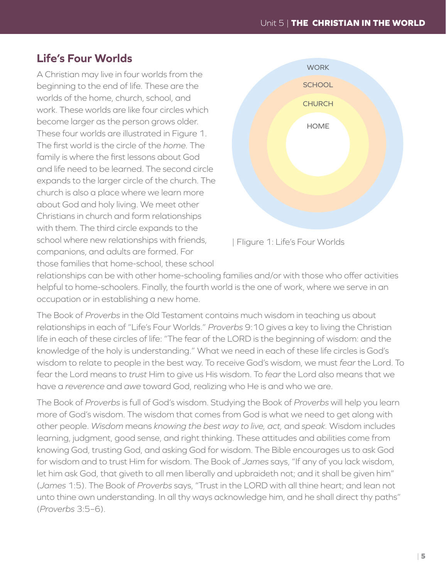## **Life's Four Worlds**

A Christian may live in four worlds from the beginning to the end of life. These are the worlds of the home, church, school, and work. These worlds are like four circles which become larger as the person grows older. These four worlds are illustrated in Figure 1. The first world is the circle of the *home.* The family is where the first lessons about God and life need to be learned. The second circle expands to the larger circle of the church. The church is also a place where we learn more about God and holy living. We meet other Christians in church and form relationships with them. The third circle expands to the school where new relationships with friends, companions, and adults are formed. For those families that home-school, these school





relationships can be with other home-schooling families and/or with those who offer activities helpful to home-schoolers. Finally, the fourth world is the one of work, where we serve in an occupation or in establishing a new home.

The Book of *Proverbs* in the Old Testament contains much wisdom in teaching us about relationships in each of "Life's Four Worlds." *Proverbs* 9:10 gives a key to living the Christian life in each of these circles of life: "The fear of the LORD is the beginning of wisdom: and the knowledge of the holy is understanding." What we need in each of these life circles is God's wisdom to relate to people in the best way. To receive God's wisdom, we must *fear* the Lord. To fear the Lord means to *trust* Him to give us His wisdom. To *fear* the Lord also means that we have a *reverence* and *awe* toward God, realizing who He is and who we are.

The Book of *Proverbs* is full of God's wisdom. Studying the Book of *Proverbs* will help you learn more of God's wisdom. The wisdom that comes from God is what we need to get along with other people. *Wisdom* means *knowing the best way to live, act,* and *speak.* Wisdom includes learning, judgment, good sense, and right thinking. These attitudes and abilities come from knowing God, trusting God, and asking God for wisdom. The Bible encourages us to ask God for wisdom and to trust Him for wisdom. The Book of *James* says, "If any of you lack wisdom, let him ask God, that giveth to all men liberally and upbraideth not; and it shall be given him" (*James* 1:5). The Book of *Proverbs* says, "Trust in the LORD with all thine heart; and lean not unto thine own understanding. In all thy ways acknowledge him, and he shall direct thy paths" (*Proverbs* 3:5–6).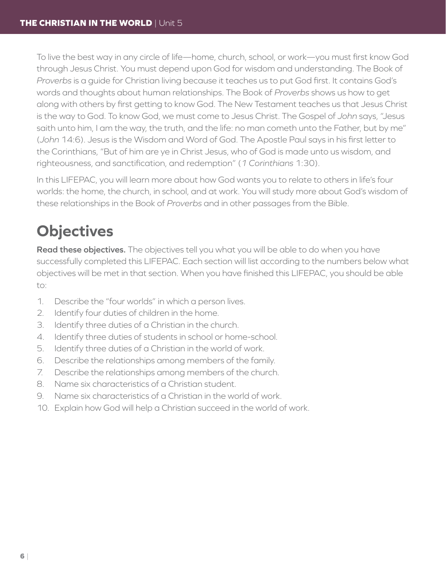To live the best way in any circle of life—home, church, school, or work—you must first know God through Jesus Christ. You must depend upon God for wisdom and understanding. The Book of *Proverbs* is a guide for Christian living because it teaches us to put God first. It contains God's words and thoughts about human relationships. The Book of *Proverbs* shows us how to get along with others by first getting to know God. The New Testament teaches us that Jesus Christ is the way to God. To know God, we must come to Jesus Christ. The Gospel of *John* says, "Jesus saith unto him, I am the way, the truth, and the life: no man cometh unto the Father, but by me" (*John* 14:6). Jesus is the Wisdom and Word of God. The Apostle Paul says in his first letter to the Corinthians, "But of him are ye in Christ Jesus, who of God is made unto us wisdom, and righteousness, and sanctification, and redemption" (*1 Corinthians* 1:30).

In this LIFEPAC, you will learn more about how God wants you to relate to others in life's four worlds: the home, the church, in school, and at work. You will study more about God's wisdom of these relationships in the Book of *Proverbs* and in other passages from the Bible.

## **Objectives**

**Read these objectives.** The objectives tell you what you will be able to do when you have successfully completed this LIFEPAC. Each section will list according to the numbers below what objectives will be met in that section. When you have finished this LIFEPAC, you should be able to:

- 1. Describe the "four worlds" in which a person lives.
- 2. Identify four duties of children in the home.
- 3. Identify three duties of a Christian in the church.
- 4. Identify three duties of students in school or home-school.
- 5. Identify three duties of a Christian in the world of work.
- 6. Describe the relationships among members of the family.
- 7. Describe the relationships among members of the church.
- 8. Name six characteristics of a Christian student.
- 9. Name six characteristics of a Christian in the world of work.
- 10. Explain how God will help a Christian succeed in the world of work.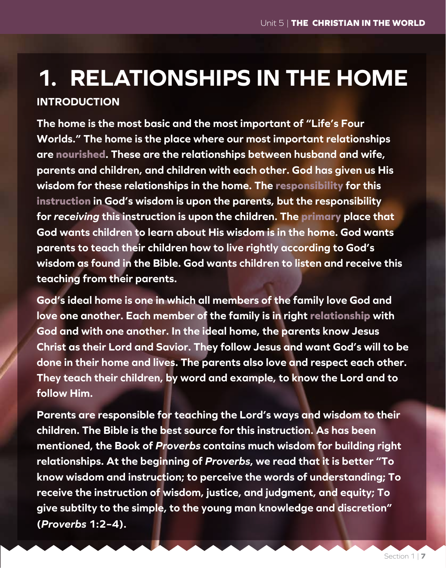## **1. RELATIONSHIPS IN THE HOME INTRODUCTION**

**The home is the most basic and the most important of "Life's Four Worlds." The home is the place where our most important relationships are nourished. These are the relationships between husband and wife, parents and children, and children with each other. God has given us His wisdom for these relationships in the home. The responsibility for this instruction in God's wisdom is upon the parents, but the responsibility for** *receiving* **this instruction is upon the children. The primary place that God wants children to learn about His wisdom is in the home. God wants parents to teach their children how to live rightly according to God's wisdom as found in the Bible. God wants children to listen and receive this teaching from their parents.**

**God's ideal home is one in which all members of the family love God and love one another. Each member of the family is in right relationship with God and with one another. In the ideal home, the parents know Jesus Christ as their Lord and Savior. They follow Jesus and want God's will to be done in their home and lives. The parents also love and respect each other. They teach their children, by word and example, to know the Lord and to follow Him.**

**Parents are responsible for teaching the Lord's ways and wisdom to their children. The Bible is the best source for this instruction. As has been mentioned, the Book of** *Proverbs* **contains much wisdom for building right relationships. At the beginning of** *Proverbs***, we read that it is better "To know wisdom and instruction; to perceive the words of understanding; To receive the instruction of wisdom, justice, and judgment, and equity; To give subtilty to the simple, to the young man knowledge and discretion" (***Proverbs* **1:2–4).**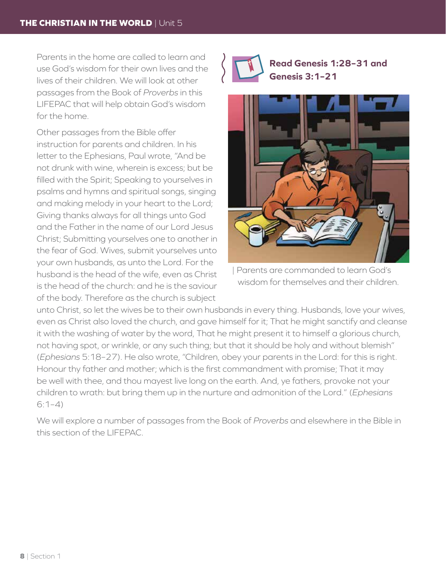Parents in the home are called to learn and use God's wisdom for their own lives and the lives of their children. We will look at other passages from the Book of *Proverbs* in this LIFEPAC that will help obtain God's wisdom for the home.

Other passages from the Bible offer instruction for parents and children. In his letter to the Ephesians, Paul wrote, "And be not drunk with wine, wherein is excess; but be filled with the Spirit; Speaking to yourselves in psalms and hymns and spiritual songs, singing and making melody in your heart to the Lord; Giving thanks always for all things unto God and the Father in the name of our Lord Jesus Christ; Submitting yourselves one to another in the fear of God. Wives, submit yourselves unto your own husbands, as unto the Lord. For the husband is the head of the wife, even as Christ is the head of the church: and he is the saviour of the body. Therefore as the church is subject



**Read Genesis 1:28–31 and Genesis 3:1–21**



| Parents are commanded to learn God's wisdom for themselves and their children.

unto Christ, so let the wives be to their own husbands in every thing. Husbands, love your wives, even as Christ also loved the church, and gave himself for it; That he might sanctify and cleanse it with the washing of water by the word, That he might present it to himself a glorious church, not having spot, or wrinkle, or any such thing; but that it should be holy and without blemish" (*Ephesians* 5:18–27). He also wrote, "Children, obey your parents in the Lord: for this is right. Honour thy father and mother; which is the first commandment with promise; That it may be well with thee, and thou mayest live long on the earth. And, ye fathers, provoke not your children to wrath: but bring them up in the nurture and admonition of the Lord." (*Ephesians*  $6:1-4)$ 

We will explore a number of passages from the Book of *Proverbs* and elsewhere in the Bible in this section of the LIFEPAC.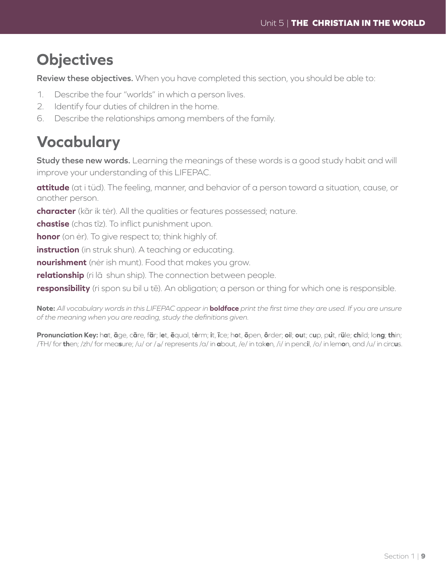## **Objectives**

**Review these objectives.** When you have completed this section, you should be able to:

- 1. Describe the four "worlds" in which a person lives.
- 2. Identify four duties of children in the home.
- 6. Describe the relationships among members of the family.

## **Vocabulary**

**Study these new words.** Learning the meanings of these words is a good study habit and will improve your understanding of this LIFEPAC.

**attitude** (at i tüd). The feeling, manner, and behavior of a person toward a situation, cause, or another person.

**character** (kãr ik tėr). All the qualities or features possessed; nature.

**chastise** (chas tīz). To inflict punishment upon.

**honor** (on ėr). To give respect to; think highly of.

**instruction** (in struk shun). A teaching or educating.

**nourishment** (nėr ish munt). Food that makes you grow.

**relationship** (ri lā shun ship). The connection between people.

**responsibility** (ri spon su bil u tē). An obligation; a person or thing for which one is responsible.

**Note:** *All vocabulary words in this LIFEPAC appear in* **boldface** *print the first time they are used. If you are unsure of the meaning when you are reading, study the definitions given.*

Pronunciation Key: hat, āge, cãre, fär; let, ēqual, tėrm; it, īce; hot, ōpen, ôrder; oil; out; cup, put, rüle; child; long; thin; /ŦH/ for **th**en; /zh/ for mea**s**ure; /u/ or / <sup>e</sup> / represents /a/ in **a**bout, /e/ in tak**e**n, /i/ in penc**i**l, /o/ in lem**o**n, and /u/ in circ**u**s.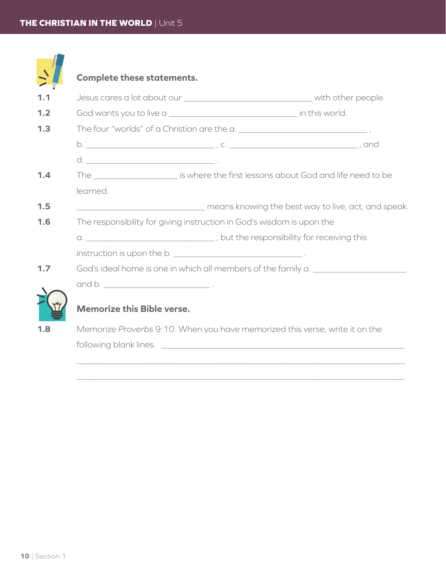|     | <b>Complete these statements.</b>                                                |                                                                                                                                                                                                                                      |  |  |  |
|-----|----------------------------------------------------------------------------------|--------------------------------------------------------------------------------------------------------------------------------------------------------------------------------------------------------------------------------------|--|--|--|
| 1.1 |                                                                                  |                                                                                                                                                                                                                                      |  |  |  |
| 1.2 |                                                                                  |                                                                                                                                                                                                                                      |  |  |  |
| 1.3 |                                                                                  |                                                                                                                                                                                                                                      |  |  |  |
|     |                                                                                  |                                                                                                                                                                                                                                      |  |  |  |
|     |                                                                                  |                                                                                                                                                                                                                                      |  |  |  |
| 1.4 |                                                                                  | The ________________________ is where the first lessons about God and life need to be                                                                                                                                                |  |  |  |
|     | learned.                                                                         |                                                                                                                                                                                                                                      |  |  |  |
| 1.5 |                                                                                  | means knowing the best way to live, act, and speak.                                                                                                                                                                                  |  |  |  |
| 1.6 | The responsibility for giving instruction in God's wisdom is upon the            |                                                                                                                                                                                                                                      |  |  |  |
|     |                                                                                  | a. __________________________________, but the responsibility for receiving this                                                                                                                                                     |  |  |  |
|     | instruction is upon the b. _________________________________.                    |                                                                                                                                                                                                                                      |  |  |  |
| 1.7 | God's ideal home is one in which all members of the family a. __________________ |                                                                                                                                                                                                                                      |  |  |  |
|     |                                                                                  |                                                                                                                                                                                                                                      |  |  |  |
|     |                                                                                  |                                                                                                                                                                                                                                      |  |  |  |
|     | <b>Memorize this Bible verse.</b>                                                |                                                                                                                                                                                                                                      |  |  |  |
| 1.8 |                                                                                  | Memorize Proverbs 9:10. When you have memorized this verse, write it on the                                                                                                                                                          |  |  |  |
|     |                                                                                  | following blank lines. <u>The community of the community of the community of the community of the community of the community of the community of the community of the community of the community of the community of the communi</u> |  |  |  |
|     |                                                                                  |                                                                                                                                                                                                                                      |  |  |  |

 $\_$  , and the set of the set of the set of the set of the set of the set of the set of the set of the set of the set of the set of the set of the set of the set of the set of the set of the set of the set of the set of th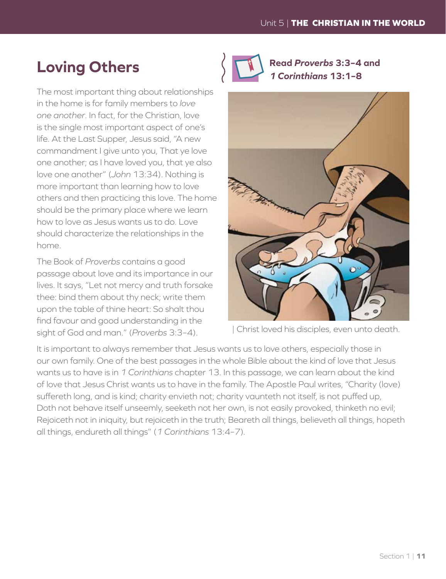## **Loving Others**

The most important thing about relationships in the home is for family members to *love one another*. In fact, for the Christian, love is the single most important aspect of one's life. At the Last Supper, Jesus said, "A new commandment I give unto you, That ye love one another; as I have loved you, that ye also love one another" (*John* 13:34). Nothing is more important than learning how to love others and then practicing this love. The home should be the primary place where we learn how to love as Jesus wants us to do. Love should characterize the relationships in the home.

The Book of *Proverbs* contains a good passage about love and its importance in our lives. It says, "Let not mercy and truth forsake thee: bind them about thy neck; write them upon the table of thine heart: So shalt thou find favour and good understanding in the sight of God and man." (*Proverbs* 3:3–4).



**Read** *Proverbs* **3:3–4 and**  *1 Corinthians* **13:1–8**



| Christ loved his disciples, even unto death.

It is important to always remember that Jesus wants us to love others, especially those in our own family. One of the best passages in the whole Bible about the kind of love that Jesus wants us to have is in *1 Corinthians* chapter 13. In this passage, we can learn about the kind of love that Jesus Christ wants us to have in the family. The Apostle Paul writes, "Charity (love) suffereth long, and is kind; charity envieth not; charity vaunteth not itself, is not puffed up, Doth not behave itself unseemly, seeketh not her own, is not easily provoked, thinketh no evil; Rejoiceth not in iniquity, but rejoiceth in the truth; Beareth all things, believeth all things, hopeth all things, endureth all things" (*1 Corinthians* 13:4–7)*.*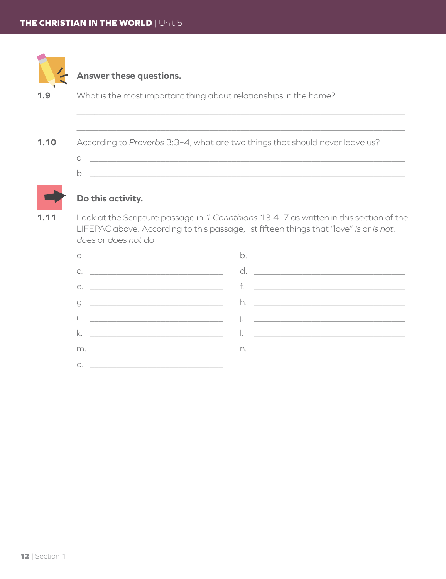|      | Answer these questions.                                                                           |
|------|---------------------------------------------------------------------------------------------------|
| 1.9  | What is the most important thing about relationships in the home?                                 |
|      |                                                                                                   |
|      |                                                                                                   |
| 1.10 | According to Proverbs 3:3-4, what are two things that should never leave us?                      |
|      |                                                                                                   |
|      | b.                                                                                                |
|      | Do this activity.                                                                                 |
| 1.11 | Look at the Scripture passage in 1 Corinthians 13:4-7 as written in this section of the<br>$\Box$ |

LIFEPAC above. According to this passage, list fifteen things that "love" *is* or *is not*, *does* or *does not* do.

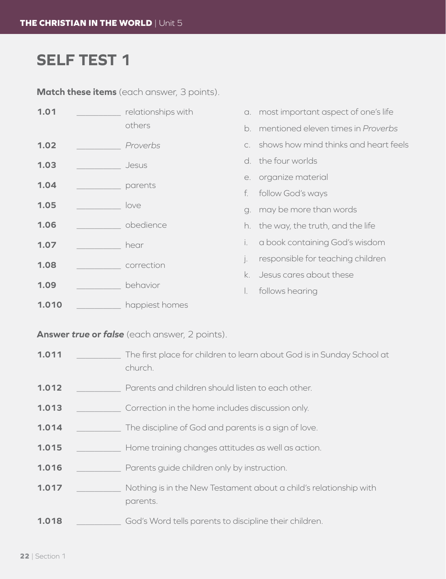## **SELF TEST 1**

**Match these items** (each answer, 3 points).

| 1.01         |  | relationships with     |          | a. most important aspect of one's life |
|--------------|--|------------------------|----------|----------------------------------------|
|              |  | others                 | b.       | mentioned eleven times in Proverbs     |
| 1.02         |  | Proverbs               |          | shows how mind thinks and heart feels  |
| 1.03         |  | Jesus                  |          | d. the four worlds                     |
| 1.04         |  | parents                |          | e. organize material                   |
|              |  |                        | f.       | follow God's ways                      |
| 1.05         |  | love                   |          | g. may be more than words              |
| 1.06         |  | obedience              | h.       | the way, the truth, and the life       |
| 1.07         |  | hear                   | i.       | a book containing God's wisdom         |
| 1.08<br>1.09 |  | correction<br>behavior | $\vdots$ | responsible for teaching children      |
|              |  |                        | k.       | Jesus cares about these                |
|              |  |                        |          | follows hearing                        |
| 1.010        |  | happiest homes         |          |                                        |

**Answer** *true* **or** *false* (each answer, 2 points).

- **1.011** \_\_\_\_\_\_\_\_\_\_ The first place for children to learn about God is in Sunday School at church.
- **1.012** \_\_\_\_\_\_\_\_\_\_ Parents and children should listen to each other.
- **1.013 1.013** Correction in the home includes discussion only.
- **1.014** \_\_\_\_\_\_\_\_\_\_ The discipline of God and parents is a sign of love.
- **1.015** \_\_\_\_\_\_\_\_\_\_ Home training changes attitudes as well as action.
- **1.016** \_\_\_\_\_\_\_\_\_\_ Parents guide children only by instruction.
- **1.017** \_\_\_\_\_\_\_\_\_\_ Nothing is in the New Testament about a child's relationship with parents.
- **1.018** \_\_\_\_\_\_\_\_\_\_ God's Word tells parents to discipline their children.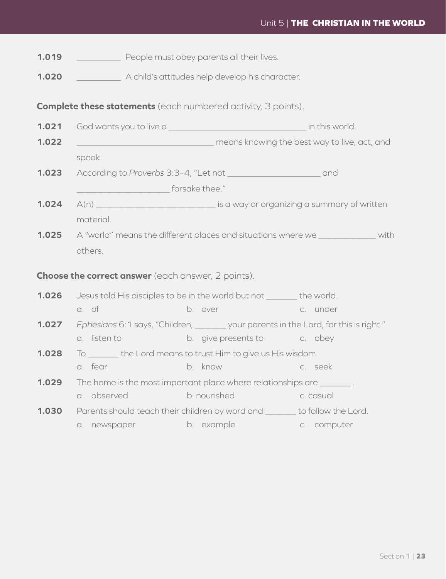- **1.019** \_\_\_\_\_\_\_\_\_\_\_\_\_\_ People must obey parents all their lives.
- **1.020** \_\_\_\_\_\_\_\_\_\_ A child's attitudes help develop his character.

**Complete these statements** (each numbered activity, 3 points).

- **1.021** God wants you to live a \_\_\_\_\_\_\_\_\_\_\_\_\_\_\_\_\_\_\_\_\_\_\_\_\_\_\_\_\_\_\_ in this world.
- **1.022** \_\_\_\_\_\_\_\_\_\_\_\_\_\_\_\_\_\_\_\_\_\_\_\_\_\_\_\_\_\_\_ means knowing the best way to live, act, and speak.
- **1.023** According to *Proverbs* 3:3–4, "Let not \_\_\_\_\_\_\_\_\_\_\_\_\_\_\_\_\_\_\_\_\_ and denotes the forsake thee."
- **1.024** A(n) **At all and a summary of written** is a way or organizing a summary of written material.
- **1.025** A "world" means the different places and situations where we with others.

### **Choose the correct answer** (each answer, 2 points).

- **1.026** Jesus told His disciples to be in the world but not \_\_\_\_\_\_\_ the world. a. of b. over c. under
- **1.027** *Ephesians* 6:1 says, "Children, \_\_\_\_\_\_\_ your parents in the Lord, for this is right."
	- a. listen to b. give presents to c. obey
- **1.028** To \_\_\_\_\_\_\_ the Lord means to trust Him to give us His wisdom. a. fear b. know c. seek
- **1.029** The home is the most important place where relationships are \_\_\_\_\_\_\_ .
	- a. observed b. nourished c. casual
- **1.030** Parents should teach their children by word and \_\_\_\_\_\_\_ to follow the Lord.
	- a. newspaper b. example c. computer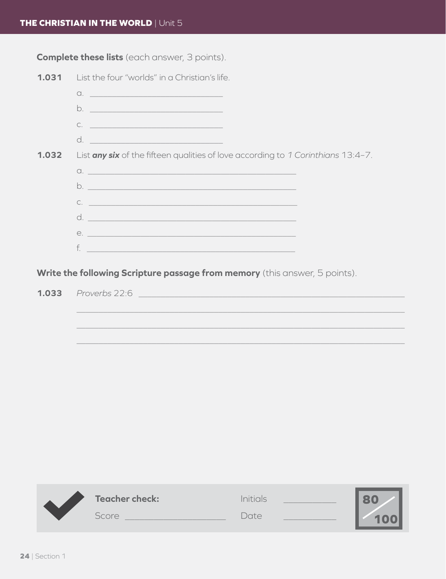**Complete these lists** (each answer, 3 points).



Write the following Scripture passage from memory (this answer, 5 points).

 $1.033$ Proverbs 22:6